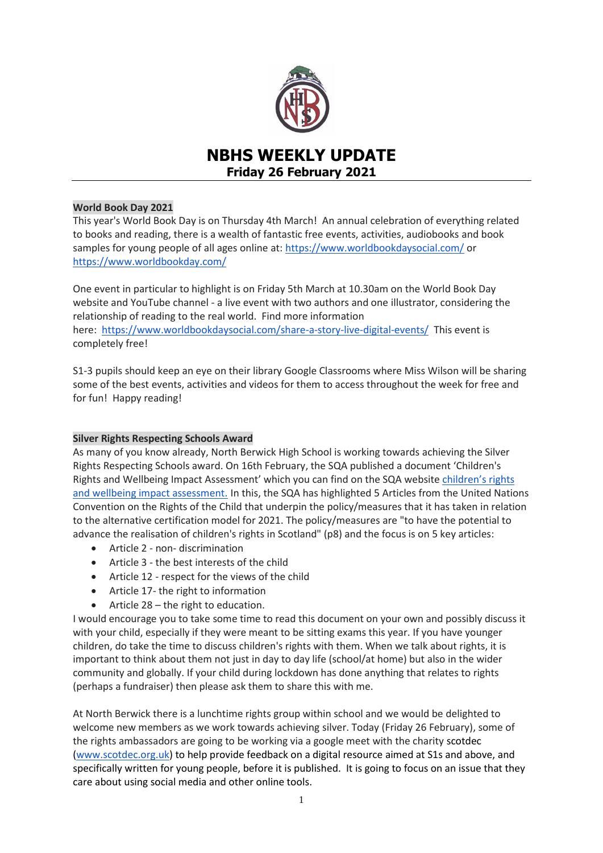

# **NBHS WEEKLY UPDATE Friday 26 February 2021**

# **World Book Day 2021**

This year's World Book Day is on Thursday 4th March! An annual celebration of everything related to books and reading, there is a wealth of fantastic free events, activities, audiobooks and book samples for young people of all ages online at: <https://www.worldbookdaysocial.com/> or <https://www.worldbookday.com/>

One event in particular to highlight is on Friday 5th March at 10.30am on the World Book Day website and YouTube channel - a live event with two authors and one illustrator, considering the relationship of reading to the real world. Find more information here: <https://www.worldbookdaysocial.com/share-a-story-live-digital-events/> This event is completely free!

S1-3 pupils should keep an eye on their library Google Classrooms where Miss Wilson will be sharing some of the best events, activities and videos for them to access throughout the week for free and for fun! Happy reading!

## **Silver Rights Respecting Schools Award**

As many of you know already, North Berwick High School is working towards achieving the Silver Rights Respecting Schools award. On 16th February, the SQA published a document 'Children's Rights and Wellbeing Impact Assessment' which you can find on the SQA website [children's rights](https://pages2.sqa.org.uk/B400YY2Hs000005B0ko0a67)  [and wellbeing impact assessment.](https://pages2.sqa.org.uk/B400YY2Hs000005B0ko0a67) In this, the SQA has highlighted 5 Articles from the United Nations Convention on the Rights of the Child that underpin the policy/measures that it has taken in relation to the alternative certification model for 2021. The policy/measures are "to have the potential to advance the realisation of children's rights in Scotland" (p8) and the focus is on 5 key articles:

- Article 2 non- discrimination
- Article 3 the best interests of the child
- Article 12 respect for the views of the child
- Article 17- the right to information
- Article 28 the right to education.

I would encourage you to take some time to read this document on your own and possibly discuss it with your child, especially if they were meant to be sitting exams this year. If you have younger children, do take the time to discuss children's rights with them. When we talk about rights, it is important to think about them not just in day to day life (school/at home) but also in the wider community and globally. If your child during lockdown has done anything that relates to rights (perhaps a fundraiser) then please ask them to share this with me.

At North Berwick there is a lunchtime rights group within school and we would be delighted to welcome new members as we work towards achieving silver. Today (Friday 26 February), some of the rights ambassadors are going to be working via a google meet with the charity scotdec [\(www.scotdec.org.uk\)](http://www.scotdec.org.uk/) to help provide feedback on a digital resource aimed at S1s and above, and specifically written for young people, before it is published. It is going to focus on an issue that they care about using social media and other online tools.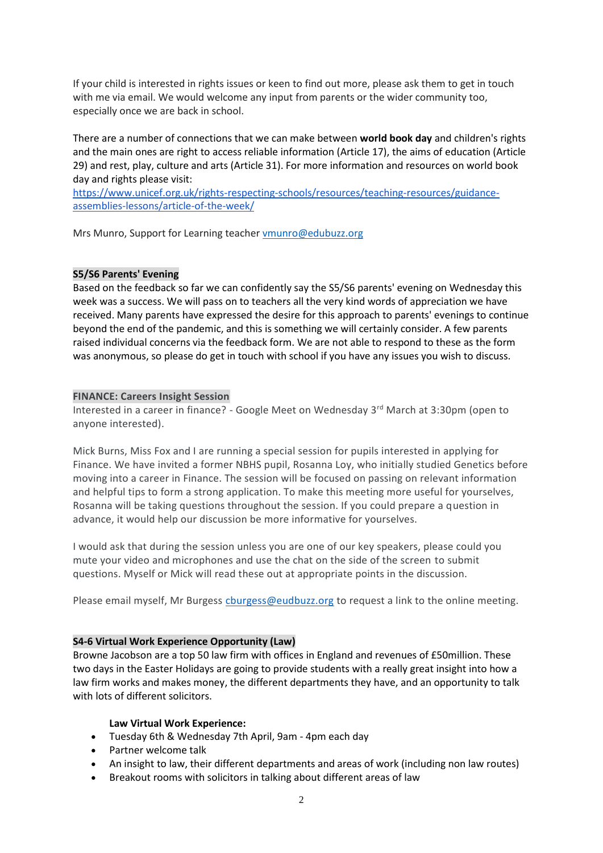If your child is interested in rights issues or keen to find out more, please ask them to get in touch with me via email. We would welcome any input from parents or the wider community too, especially once we are back in school.

There are a number of connections that we can make between **world book day** and children's rights and the main ones are right to access reliable information (Article 17), the aims of education (Article 29) and rest, play, culture and arts (Article 31). For more information and resources on world book day and rights please visit:

[https://www.unicef.org.uk/rights-respecting-schools/resources/teaching-resources/guidance](https://www.unicef.org.uk/rights-respecting-schools/resources/teaching-resources/guidance-assemblies-lessons/article-of-the-week/)[assemblies-lessons/article-of-the-week/](https://www.unicef.org.uk/rights-respecting-schools/resources/teaching-resources/guidance-assemblies-lessons/article-of-the-week/)

Mrs Munro, Support for Learning teacher [vmunro@edubuzz.org](mailto:vmunro@edubuzz.org)

# **S5/S6 Parents' Evening**

Based on the feedback so far we can confidently say the S5/S6 parents' evening on Wednesday this week was a success. We will pass on to teachers all the very kind words of appreciation we have received. Many parents have expressed the desire for this approach to parents' evenings to continue beyond the end of the pandemic, and this is something we will certainly consider. A few parents raised individual concerns via the feedback form. We are not able to respond to these as the form was anonymous, so please do get in touch with school if you have any issues you wish to discuss.

## **FINANCE: Careers Insight Session**

Interested in a career in finance? - Google Meet on Wednesday 3<sup>rd</sup> March at 3:30pm (open to anyone interested).

Mick Burns, Miss Fox and I are running a special session for pupils interested in applying for Finance. We have invited a former NBHS pupil, Rosanna Loy, who initially studied Genetics before moving into a career in Finance. The session will be focused on passing on relevant information and helpful tips to form a strong application. To make this meeting more useful for yourselves, Rosanna will be taking questions throughout the session. If you could prepare a question in advance, it would help our discussion be more informative for yourselves.

I would ask that during the session unless you are one of our key speakers, please could you mute your video and microphones and use the chat on the side of the screen to submit questions. Myself or Mick will read these out at appropriate points in the discussion.

Please email myself, Mr Burgess churgess@eudbuzz.org to request a link to the online meeting.

# **S4-6 Virtual Work Experience Opportunity (Law)**

Browne Jacobson are a top 50 law firm with offices in England and revenues of £50million. These two days in the Easter Holidays are going to provide students with a really great insight into how a law firm works and makes money, the different departments they have, and an opportunity to talk with lots of different solicitors.

## **Law Virtual Work Experience:**

- Tuesday 6th & Wednesday 7th April, 9am 4pm each day
- Partner welcome talk
- An insight to law, their different departments and areas of work (including non law routes)
- Breakout rooms with solicitors in talking about different areas of law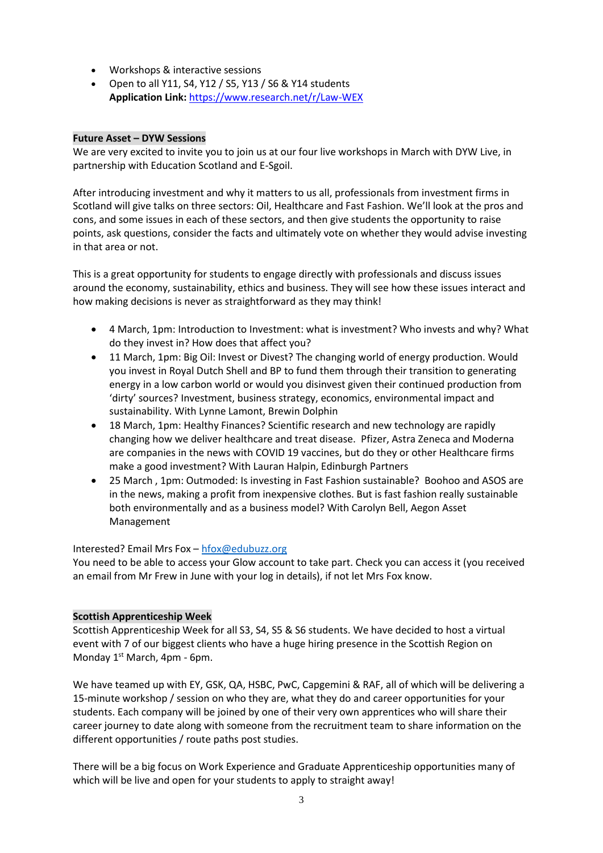- Workshops & interactive sessions
- Open to all Y11, S4, Y12 / S5, Y13 / S6 & Y14 students **Application Link:** [https://www.research.net/r/Law-WEX](https://mail.elcschool.org.uk/owa/redir.aspx?C=5a1cnwlqLtKCIS0TLBN94PQPucwCLdXOiWpyRYqwR-AnpuzCidnYCA..&URL=https%3a%2f%2fwww.research.net%2fr%2fLaw-WEX)

# **Future Asset – DYW Sessions**

We are very excited to invite you to join us at our four live workshops in March with DYW Live, in partnership with Education Scotland and E-Sgoil.

After introducing investment and why it matters to us all, professionals from investment firms in Scotland will give talks on three sectors: Oil, Healthcare and Fast Fashion. We'll look at the pros and cons, and some issues in each of these sectors, and then give students the opportunity to raise points, ask questions, consider the facts and ultimately vote on whether they would advise investing in that area or not.

This is a great opportunity for students to engage directly with professionals and discuss issues around the economy, sustainability, ethics and business. They will see how these issues interact and how making decisions is never as straightforward as they may think!

- 4 March, 1pm: Introduction to Investment: what is investment? Who invests and why? What do they invest in? How does that affect you?
- 11 March, 1pm: Big Oil: Invest or Divest? The changing world of energy production. Would you invest in Royal Dutch Shell and BP to fund them through their transition to generating energy in a low carbon world or would you disinvest given their continued production from 'dirty' sources? Investment, business strategy, economics, environmental impact and sustainability. With Lynne Lamont, Brewin Dolphin
- 18 March, 1pm: Healthy Finances? Scientific research and new technology are rapidly changing how we deliver healthcare and treat disease. Pfizer, Astra Zeneca and Moderna are companies in the news with COVID 19 vaccines, but do they or other Healthcare firms make a good investment? With Lauran Halpin, Edinburgh Partners
- 25 March , 1pm: Outmoded: Is investing in Fast Fashion sustainable? Boohoo and ASOS are in the news, making a profit from inexpensive clothes. But is fast fashion really sustainable both environmentally and as a business model? With Carolyn Bell, Aegon Asset Management

## Interested? Email Mrs Fox – [hfox@edubuzz.org](mailto:hfox@edubuzz.org)

You need to be able to access your Glow account to take part. Check you can access it (you received an email from Mr Frew in June with your log in details), if not let Mrs Fox know.

## **Scottish Apprenticeship Week**

Scottish Apprenticeship Week for all S3, S4, S5 & S6 students. We have decided to host a virtual event with 7 of our biggest clients who have a huge hiring presence in the Scottish Region on Monday 1<sup>st</sup> March, 4pm - 6pm.

We have teamed up with EY, GSK, QA, HSBC, PwC, Capgemini & RAF, all of which will be delivering a 15-minute workshop / session on who they are, what they do and career opportunities for your students. Each company will be joined by one of their very own apprentices who will share their career journey to date along with someone from the recruitment team to share information on the different opportunities / route paths post studies.

There will be a big focus on Work Experience and Graduate Apprenticeship opportunities many of which will be live and open for your students to apply to straight away!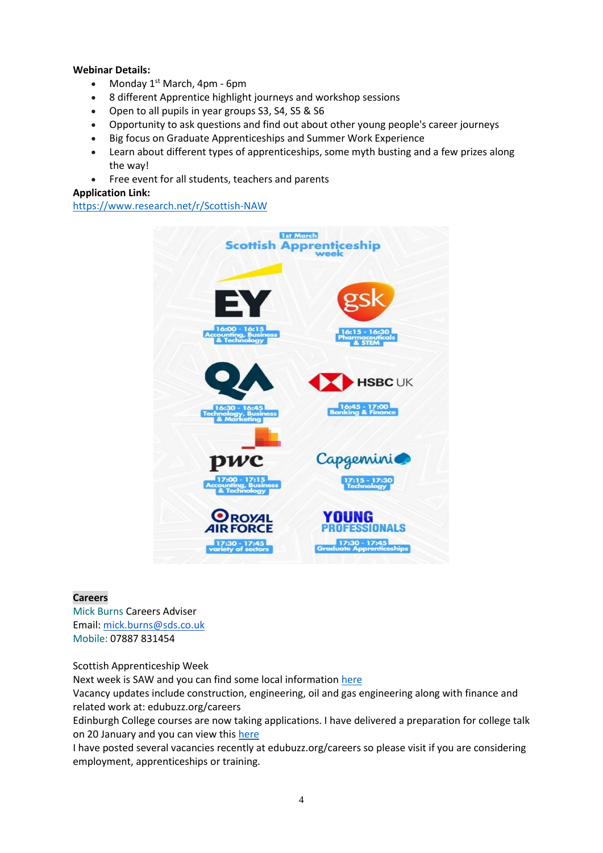## **Webinar Details:**

- Monday  $1^{st}$  March, 4pm 6pm
- 8 different Apprentice highlight journeys and workshop sessions
- Open to all pupils in year groups S3, S4, S5 & S6
- Opportunity to ask questions and find out about other young people's career journeys
- Big focus on Graduate Apprenticeships and Summer Work Experience
- Learn about different types of apprenticeships, some myth busting and a few prizes along the way!
- Free event for all students, teachers and parents

## **Application Link:**

<https://www.research.net/r/Scottish-NAW>



#### **Careers**

Mick Burns Careers Adviser Email: [mick.burns@sds.co.uk](https://mail.elcschool.org.uk/owa/redir.aspx?C=fbGa3DGVrsUoQB2CnJP23eXwMGzxu7J1CtarT6dTOwkq_NlpJujXCA..&URL=mailto%3amick.burns%40sds.co.uk) Mobile: 07887 831454

Scottish Apprenticeship Week

Next week is SAW and you can find some local information [here](https://www.edubuzz.org/careers/2021/02/23/scottish-apprenticeship-week-events-2021/)

Vacancy updates include construction, engineering, oil and gas engineering along with finance and related work at: edubuzz.org/careers

Edinburgh College courses are now taking applications. I have delivered a preparation for college talk on 20 January and you can view this [here](https://www.edubuzz.org/careers/2017/12/06/applying-for-college-2018/)

I have posted several vacancies recently at edubuzz.org/careers so please visit if you are considering employment, apprenticeships or training.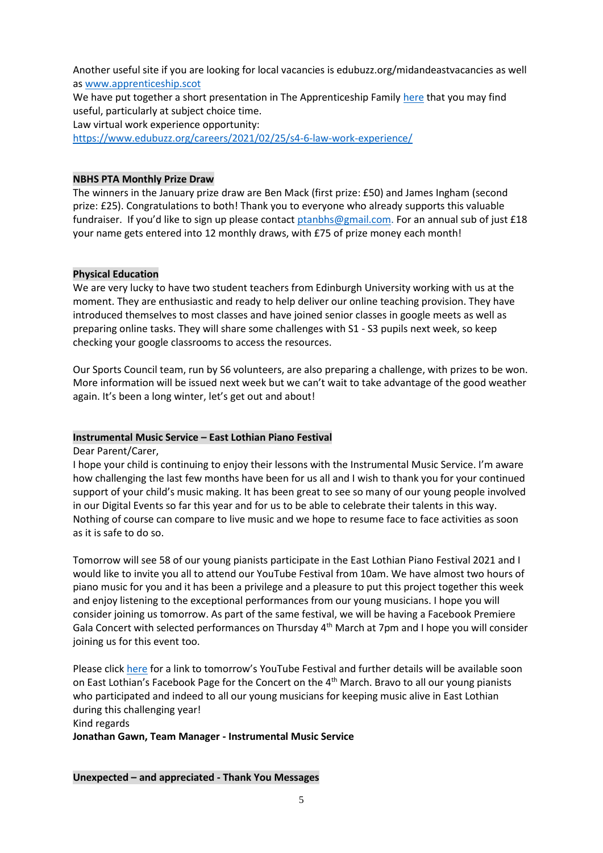Another useful site if you are looking for local vacancies is edubuzz.org/midandeastvacancies as well as [www.apprenticeship.scot](http://www.apprenticeship.scot/)

We have put together a short presentation in The Apprenticeship Family [here](https://www.edubuzz.org/careers/2021/01/21/apprenticeship-family/) that you may find useful, particularly at subject choice time.

Law virtual work experience opportunity:

<https://www.edubuzz.org/careers/2021/02/25/s4-6-law-work-experience/>

#### **NBHS PTA Monthly Prize Draw**

The winners in the January prize draw are Ben Mack (first prize: £50) and James Ingham (second prize: £25). Congratulations to both! Thank you to everyone who already supports this valuable fundraiser. If you'd like to sign up please contact [ptanbhs@gmail.com.](mailto:ptanbhs@gmail.com) For an annual sub of just £18 your name gets entered into 12 monthly draws, with £75 of prize money each month!

#### **Physical Education**

We are very lucky to have two student teachers from Edinburgh University working with us at the moment. They are enthusiastic and ready to help deliver our online teaching provision. They have introduced themselves to most classes and have joined senior classes in google meets as well as preparing online tasks. They will share some challenges with S1 - S3 pupils next week, so keep checking your google classrooms to access the resources.

Our Sports Council team, run by S6 volunteers, are also preparing a challenge, with prizes to be won. More information will be issued next week but we can't wait to take advantage of the good weather again. It's been a long winter, let's get out and about!

#### **Instrumental Music Service – East Lothian Piano Festival**

Dear Parent/Carer,

I hope your child is continuing to enjoy their lessons with the Instrumental Music Service. I'm aware how challenging the last few months have been for us all and I wish to thank you for your continued support of your child's music making. It has been great to see so many of our young people involved in our Digital Events so far this year and for us to be able to celebrate their talents in this way. Nothing of course can compare to live music and we hope to resume face to face activities as soon as it is safe to do so.

Tomorrow will see 58 of our young pianists participate in the East Lothian Piano Festival 2021 and I would like to invite you all to attend our YouTube Festival from 10am. We have almost two hours of piano music for you and it has been a privilege and a pleasure to put this project together this week and enjoy listening to the exceptional performances from our young musicians. I hope you will consider joining us tomorrow. As part of the same festival, we will be having a Facebook Premiere Gala Concert with selected performances on Thursday  $4<sup>th</sup>$  March at 7pm and I hope you will consider joining us for this event too.

Please click [here](https://youtu.be/GTMiEZfIMm8) for a link to tomorrow's YouTube Festival and further details will be available soon on East Lothian's Facebook Page for the Concert on the 4<sup>th</sup> March. Bravo to all our young pianists who participated and indeed to all our young musicians for keeping music alive in East Lothian during this challenging year! Kind regards

## **Jonathan Gawn, Team Manager - Instrumental Music Service**

**Unexpected – and appreciated - Thank You Messages**